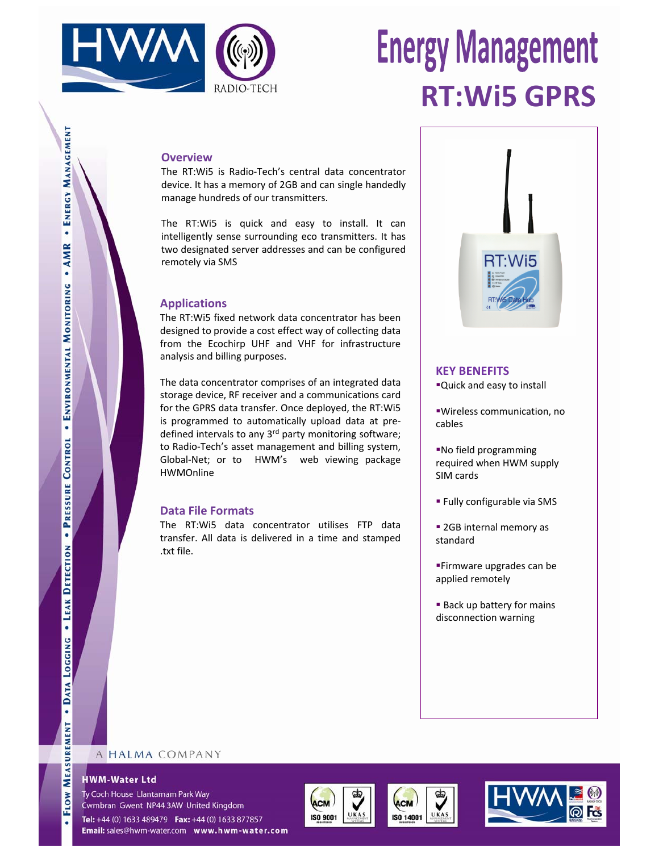

# **Energy Management RT:Wi5 GPRS**

### **Overview**

The RT:Wi5 is Radio‐Tech's central data concentrator device. It has a memory of 2GB and can single handedly manage hundreds of our transmitters.

The RT:Wi5 is quick and easy to install. It can intelligently sense surrounding eco transmitters. It has two designated server addresses and can be configured remotely via SMS

## **Applications**

The RT:Wi5 fixed network data concentrator has been designed to provide a cost effect way of collecting data from the Ecochirp UHF and VHF for infrastructure analysis and billing purposes.

The data concentrator comprises of an integrated data storage device, RF receiver and a communications card for the GPRS data transfer. Once deployed, the RT:Wi5 is programmed to automatically upload data at pre‐ defined intervals to any 3<sup>rd</sup> party monitoring software; to Radio‐Tech's asset management and billing system, Global-Net; or to HWM's web viewing package HWMOnline

## **Data File Formats**

The RT:Wi5 data concentrator utilises FTP data transfer. All data is delivered in a time and stamped .txt file.



## **KEY BENEFITS**

Quick and easy to install

Wireless communication, no cables

No field programming required when HWM supply SIM cards

- Fully configurable via SMS
- **2GB** internal memory as standard
- Firmware upgrades can be applied remotely
- **Back up battery for mains** disconnection warning

## A HALMA COMPANY

### **HWM-Water Ltd**

Ty Coch House Llantarnam Park Way Cwmbran Gwent NP44 3AW United Kingdom

Tel: +44 (0) 1633 489479 Fax: +44 (0) 1633 877857 Email: sales@hwm-water.com www.hwm-water.com